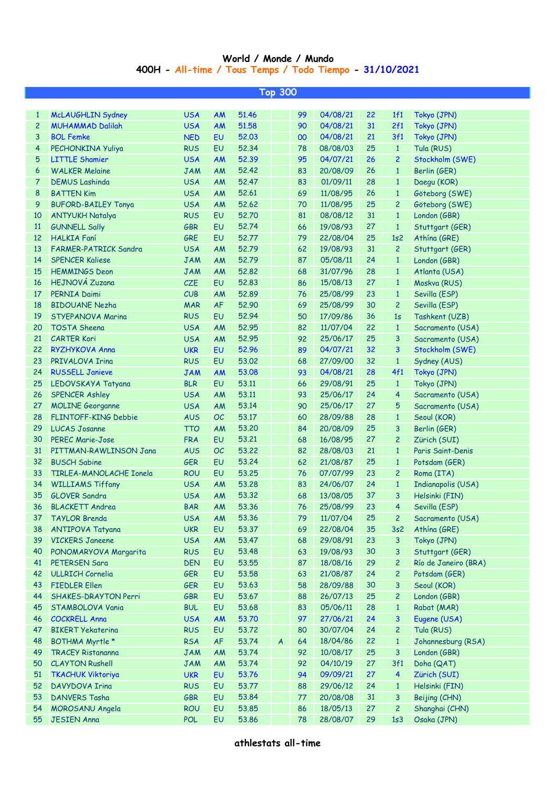## **400H - All-time / Tous Temps / Todo Tiempo - 31/10/2021 World / Monde / Mundo**

|                | <b>Top 300</b>              |            |           |       |              |    |          |    |                |                      |  |  |
|----------------|-----------------------------|------------|-----------|-------|--------------|----|----------|----|----------------|----------------------|--|--|
|                |                             |            |           |       |              |    |          |    |                |                      |  |  |
| $\mathbf{1}$   | <b>McLAUGHLIN Sydney</b>    | <b>USA</b> | AM        | 51.46 |              | 99 | 04/08/21 | 22 | 1f1            | Tokyo (JPN)          |  |  |
| $\overline{c}$ | <b>MUHAMMAD Dalilah</b>     | <b>USA</b> | AM        | 51.58 |              | 90 | 04/08/21 | 31 | 2f1            | Tokyo (JPN)          |  |  |
| 3              | <b>BOL Femke</b>            | <b>NED</b> | EU        | 52.03 |              | 00 | 04/08/21 | 21 | 3f1            | Tokyo (JPN)          |  |  |
| 4              | PECHONKINA Yuliya           | <b>RUS</b> | EU        | 52.34 |              | 78 | 08/08/03 | 25 | $\mathbf{1}$   | Tula (RUS)           |  |  |
| 5              | <b>LITTLE Shamier</b>       | <b>USA</b> | <b>AM</b> | 52.39 |              | 95 | 04/07/21 | 26 | $\overline{2}$ | Stockholm (SWE)      |  |  |
| 6              | <b>WALKER Melaine</b>       | <b>JAM</b> | AM        | 52.42 |              | 83 | 20/08/09 | 26 | $\mathbf{1}$   | Berlin (GER)         |  |  |
| 7              | <b>DEMUS Lashinda</b>       | <b>USA</b> | AM        | 52.47 |              | 83 | 01/09/11 | 28 | $\mathbf{1}$   | Daegu (KOR)          |  |  |
| 8              | <b>BATTEN Kim</b>           | <b>USA</b> | AM        | 52.61 |              | 69 | 11/08/95 | 26 | $\mathbf{1}$   | Göteborg (SWE)       |  |  |
| 9              | <b>BUFORD-BAILEY Tonya</b>  | <b>USA</b> | AM        | 52.62 |              | 70 | 11/08/95 | 25 | $\overline{c}$ | Göteborg (SWE)       |  |  |
| 10             | <b>ANTYUKH Natalya</b>      | <b>RUS</b> | EU        | 52.70 |              | 81 | 08/08/12 | 31 | $\mathbf{1}$   | London (GBR)         |  |  |
| $11$           | <b>GUNNELL Sally</b>        | <b>GBR</b> | EU        | 52.74 |              | 66 | 19/08/93 | 27 | $\mathbf{1}$   | Stuttgart (GER)      |  |  |
| 12             | <b>HALKIA Faní</b>          | GRE        | EU        | 52,77 |              | 79 | 22/08/04 | 25 | 1s2            | Athina (GRE)         |  |  |
| 13             | FARMER-PATRICK Sandra       | <b>USA</b> | AM        | 52.79 |              | 62 | 19/08/93 | 31 | $\overline{c}$ | Stuttgart (GER)      |  |  |
| 14             | <b>SPENCER Kaliese</b>      | <b>JAM</b> | AM        | 52.79 |              | 87 | 05/08/11 | 24 | $\mathbf{1}$   | London (GBR)         |  |  |
| 15             | <b>HEMMINGS Deon</b>        | <b>JAM</b> | AM        | 52.82 |              | 68 | 31/07/96 | 28 | $\mathbf{1}$   | Atlanta (USA)        |  |  |
| 16             | <b>HEJNOVÁ Zuzana</b>       | <b>CZE</b> | EU        | 52.83 |              | 86 | 15/08/13 | 27 | $\mathbf{1}$   | Moskva (RUS)         |  |  |
| 17             | PERNIA Daimi                | CUB        | AM        | 52.89 |              | 76 | 25/08/99 | 23 | $\mathbf{1}$   | Sevilla (ESP)        |  |  |
| 18             | <b>BIDOUANE Nezha</b>       | <b>MAR</b> | AF        | 52.90 |              | 69 | 25/08/99 | 30 | $\overline{c}$ | Sevilla (ESP)        |  |  |
| 19             | <b>STYEPANOVA Marina</b>    | <b>RUS</b> | EU        | 52.94 |              | 50 | 17/09/86 | 36 | 1s             | Tashkent (UZB)       |  |  |
| 20             | <b>TOSTA Sheena</b>         | <b>USA</b> | AM        | 52.95 |              | 82 | 11/07/04 | 22 | $\mathbf{1}$   | Sacramento (USA)     |  |  |
| 21             | <b>CARTER Kori</b>          | <b>USA</b> | AM        | 52.95 |              | 92 | 25/06/17 | 25 | 3              | Sacramento (USA)     |  |  |
| 22             | RYZHYKOVA Anna              | <b>UKR</b> | EU        | 52.96 |              | 89 | 04/07/21 | 32 | 3              | Stockholm (SWE)      |  |  |
| 23             | PRIVALOVA Irina             | <b>RUS</b> | EU        | 53.02 |              | 68 | 27/09/00 | 32 | $\mathbf{1}$   | Sydney (AUS)         |  |  |
| 24             | <b>RUSSELL Janieve</b>      | <b>JAM</b> | AM        | 53.08 |              | 93 | 04/08/21 | 28 | 4f1            | Tokyo (JPN)          |  |  |
| 25             | LEDOVSKAYA Tatyana          | <b>BLR</b> | EU        | 53.11 |              | 66 | 29/08/91 | 25 | $\mathbf{1}$   | Tokyo (JPN)          |  |  |
| 26             | <b>SPENCER Ashley</b>       | <b>USA</b> | AM        | 53.11 |              | 93 | 25/06/17 | 24 | 4              | Sacramento (USA)     |  |  |
| 27             | <b>MOLINE Georganne</b>     | <b>USA</b> | AM        | 53.14 |              | 90 | 25/06/17 | 27 | 5              | Sacramento (USA)     |  |  |
| 28             | FLINTOFF-KING Debbie        | <b>AUS</b> | OC        | 53.17 |              | 60 | 28/09/88 | 28 | $\mathbf{1}$   | Seoul (KOR)          |  |  |
| 29             | <b>LUCAS Josanne</b>        | <b>TTO</b> | AM        | 53,20 |              | 84 | 20/08/09 | 25 | 3              | Berlin (GER)         |  |  |
| 30             | <b>PEREC Marie-Jose</b>     | <b>FRA</b> | EU        | 53.21 |              | 68 | 16/08/95 | 27 | $\overline{c}$ | Zürich (SUI)         |  |  |
| 31             | PITTMAN-RAWLINSON Jana      | <b>AUS</b> | OC        | 53.22 |              | 82 | 28/08/03 | 21 | $\mathbf{1}$   | Paris Saint-Denis    |  |  |
| 32             | <b>BUSCH Sabine</b>         | <b>GER</b> | EU        | 53.24 |              | 62 | 21/08/87 | 25 | $\mathbf{1}$   | Potsdam (GER)        |  |  |
| 33             | TIRLEA-MANOLACHE Ionela     | <b>ROU</b> | EU        | 53.25 |              | 76 | 07/07/99 | 23 | $\overline{2}$ | Roma (ITA)           |  |  |
| 34             | <b>WILLIAMS Tiffany</b>     | <b>USA</b> | AM        | 53,28 |              | 83 | 24/06/07 | 24 | $\mathbf{1}$   | Indianapolis (USA)   |  |  |
| 35             | <b>GLOVER Sandra</b>        | <b>USA</b> | AM        | 53.32 |              | 68 | 13/08/05 | 37 | 3              | Helsinki (FIN)       |  |  |
|                | 36 BLACKETT Andrea          | <b>BAR</b> | AM        | 53.36 |              | 76 | 25/08/99 | 23 | 4              | Sevilla (ESP)        |  |  |
| 37             | <b>TAYLOR Brenda</b>        | <b>USA</b> | AM        | 53.36 |              | 79 | 11/07/04 | 25 | $\overline{c}$ | Sacramento (USA)     |  |  |
| 38             | <b>ANTIPOVA Tatyana</b>     | <b>UKR</b> | EU        | 53.37 |              | 69 | 22/08/04 | 35 | 3s2            | Athína (GRE)         |  |  |
| 39             | <b>VICKERS Janeene</b>      | <b>USA</b> | AM        | 53.47 |              | 68 | 29/08/91 | 23 | 3              | Tokyo (JPN)          |  |  |
| 40             | PONOMARYOVA Margarita       | <b>RUS</b> | EU        | 53.48 |              | 63 | 19/08/93 | 30 | 3              | Stuttgart (GER)      |  |  |
| 41             | PETERSEN Sara               | <b>DEN</b> | EU        | 53.55 |              | 87 | 18/08/16 | 29 | $\overline{c}$ | Río de Janeiro (BRA) |  |  |
| 42             | <b>ULLRICH Cornelia</b>     | <b>GER</b> | EU        | 53.58 |              | 63 | 21/08/87 | 24 | $\overline{c}$ | Potsdam (GER)        |  |  |
| 43             | <b>FIEDLER Ellen</b>        | <b>GER</b> | EU        | 53.63 |              | 58 | 28/09/88 | 30 | 3              | Seoul (KOR)          |  |  |
| 44             | <b>SHAKES-DRAYTON Perri</b> | <b>GBR</b> | EU        | 53.67 |              | 88 | 26/07/13 | 25 | $\overline{c}$ | London (GBR)         |  |  |
| 45             | STAMBOLOVA Vania            | <b>BUL</b> | EU        | 53.68 |              | 83 | 05/06/11 | 28 | $\mathbf{1}$   | Rabat (MAR)          |  |  |
| 46             | <b>COCKRELL Anna</b>        | <b>USA</b> | <b>AM</b> | 53.70 |              | 97 | 27/06/21 | 24 | 3              | Eugene (USA)         |  |  |
| 47             | <b>BIKERT Yekaterina</b>    | <b>RUS</b> | EU        | 53,72 |              | 80 | 30/07/04 | 24 | $\overline{c}$ | Tula (RUS)           |  |  |
| 48             | BOTHMA Myrtle *             | <b>RSA</b> | AF        | 53.74 | $\mathsf{A}$ | 64 | 18/04/86 | 22 | $\mathbf{1}$   | Johannesburg (RSA)   |  |  |
| 49             | <b>TRACEY Ristananna</b>    | <b>JAM</b> | AM        | 53.74 |              | 92 | 10/08/17 | 25 | 3              | London (GBR)         |  |  |
| 50             | <b>CLAYTON Rushell</b>      | <b>JAM</b> | AM        | 53.74 |              | 92 | 04/10/19 | 27 | 3f1            | Doha (QAT)           |  |  |
| 51             | <b>TKACHUK Viktoriya</b>    | <b>UKR</b> | EU        | 53.76 |              | 94 | 09/09/21 | 27 | $\overline{4}$ | Zürich (SUI)         |  |  |
| 52             | DAVYDOVA Irina              | <b>RUS</b> | EU        | 53.77 |              | 88 | 29/06/12 | 24 | $\mathbf{1}$   | Helsinki (FIN)       |  |  |
| 53             | <b>DANVERS Tasha</b>        | <b>GBR</b> | EU        | 53.84 |              | 77 | 20/08/08 | 31 | 3              | Beijing (CHN)        |  |  |
| 54             | MOROSANU Angela             | <b>ROU</b> | EU        | 53.85 |              | 86 | 18/05/13 | 27 | $\overline{c}$ | Shanghai (CHN)       |  |  |
| 55             | <b>JESIEN Anna</b>          | <b>POL</b> | EU        | 53.86 |              | 78 | 28/08/07 | 29 | 1s3            | Osaka (JPN)          |  |  |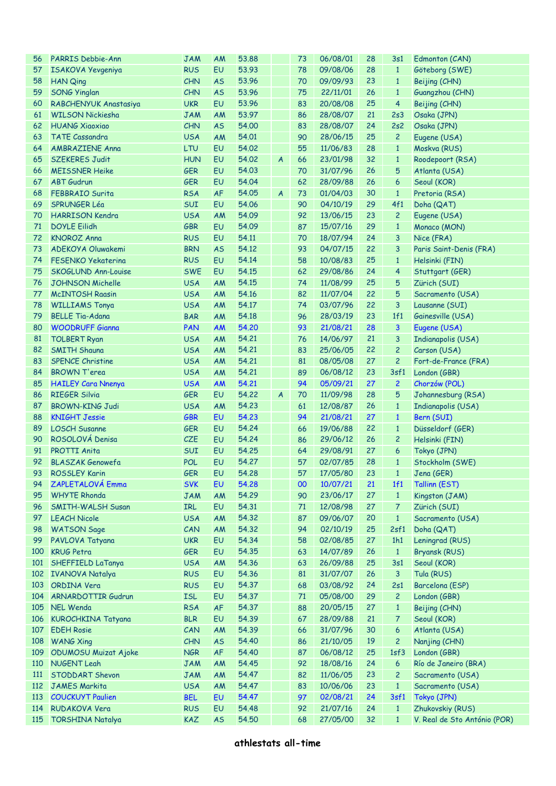| 56         | PARRIS Debbie-Ann          | <b>JAM</b> | AM        | 53.88 |                | 73 | 06/08/01    | 28 | 3s1             | Edmonton (CAN)               |
|------------|----------------------------|------------|-----------|-------|----------------|----|-------------|----|-----------------|------------------------------|
| 57         | ISAKOVA Yevgeniya          | <b>RUS</b> | EU        | 53.93 |                | 78 | 09/08/06    | 28 | $\mathbf{1}$    | Göteborg (SWE)               |
| 58         | <b>HAN Qing</b>            | CHN        | <b>AS</b> | 53.96 |                | 70 | 09/09/93    | 23 | $\mathbf{1}$    | Beijing (CHN)                |
| 59         | <b>SONG Yinglan</b>        | CHN        | <b>AS</b> | 53.96 |                | 75 | 22/11/01    | 26 | $\mathbf{1}$    | Guangzhou (CHN)              |
| 60         | RABCHENYUK Anastasiya      | <b>UKR</b> | <b>EU</b> | 53.96 |                | 83 | 20/08/08    | 25 | $\overline{4}$  | Beijing (CHN)                |
| 61         | <b>WILSON Nickiesha</b>    | <b>JAM</b> | AM        | 53.97 |                | 86 | 28/08/07    | 21 | 2s3             | Osaka (JPN)                  |
| 62         | <b>HUANG Xiaoxiao</b>      | CHN        | <b>AS</b> | 54.00 |                | 83 | 28/08/07    | 24 | 2s2             | Osaka (JPN)                  |
| 63         | <b>TATE Cassandra</b>      | <b>USA</b> | AM        | 54.01 |                | 90 | 28/06/15    | 25 | $\overline{c}$  | Eugene (USA)                 |
| 64         | <b>AMBRAZIENE Anna</b>     | LTU        | EU        | 54.02 |                | 55 | 11/06/83    | 28 | $\mathbf{1}$    | Moskva (RUS)                 |
| 65         | <b>SZEKERES Judit</b>      | <b>HUN</b> | EU        | 54.02 | $\overline{A}$ | 66 | 23/01/98    | 32 | $\mathbf{1}$    | Roodepoort (RSA)             |
| 66         | <b>MEISSNER Heike</b>      | <b>GER</b> | EU        | 54.03 |                | 70 | 31/07/96    | 26 | 5               | Atlanta (USA)                |
| 67         | <b>ABT</b> Gudrun          | <b>GER</b> | EU        | 54.04 |                | 62 | 28/09/88    | 26 | 6               | Seoul (KOR)                  |
| 68         | <b>FEBBRAIO Surita</b>     | <b>RSA</b> | AF        | 54.05 | $\overline{A}$ | 73 | 01/04/03    | 30 | $\mathbf{1}$    | Pretoria (RSA)               |
| 69         | <b>SPRUNGER Léa</b>        | SUI        | EU        | 54.06 |                | 90 | 04/10/19    | 29 | 4f1             | Doha (QAT)                   |
| 70         | <b>HARRISON Kendra</b>     | <b>USA</b> | AM        | 54.09 |                | 92 | 13/06/15    | 23 | $\overline{c}$  | Eugene (USA)                 |
| 71         | <b>DOYLE Eilidh</b>        | <b>GBR</b> | EU        | 54.09 |                | 87 | 15/07/16    | 29 | $\mathbf{1}$    | Monaco (MON)                 |
| 72         | <b>KNOROZ Anna</b>         | <b>RUS</b> | EU        | 54.11 |                | 70 | 18/07/94    | 24 | 3               | Nice (FRA)                   |
| 73         | ADEKOYA Oluwakemi          | <b>BRN</b> | <b>AS</b> | 54.12 |                | 93 | 04/07/15    | 22 | 3               | Paris Saint-Denis (FRA)      |
| 74         | <b>FESENKO Yekaterina</b>  | <b>RUS</b> | EU        | 54.14 |                | 58 | 10/08/83    | 25 | $\mathbf{1}$    | Helsinki (FIN)               |
| 75         | <b>SKOGLUND Ann-Louise</b> | <b>SWE</b> | EU        | 54.15 |                | 62 | 29/08/86    | 24 | 4               | Stuttgart (GER)              |
| 76         | <b>JOHNSON Michelle</b>    | <b>USA</b> | AM        | 54.15 |                | 74 | 11/08/99    | 25 | 5               | Zürich (SUI)                 |
| 77         | <b>McINTOSH Raasin</b>     | <b>USA</b> | AM        | 54.16 |                | 82 | 11/07/04    | 22 | 5               | Sacramento (USA)             |
| 78         | <b>WILLIAMS Tonya</b>      | <b>USA</b> | AM        | 54.17 |                | 74 | 03/07/96    | 22 | $\mathbf{3}$    | Lausanne (SUI)               |
| 79         | <b>BELLE Tia-Adana</b>     | <b>BAR</b> | AM        | 54.18 |                | 96 | 28/03/19    | 23 | 1f1             | Gainesville (USA)            |
| 80         | <b>WOODRUFF Gianna</b>     | PAN        | AM        | 54.20 |                | 93 | 21/08/21    | 28 | 3               | Eugene (USA)                 |
| 81         | <b>TOLBERT Ryan</b>        | <b>USA</b> | AM        | 54.21 |                | 76 | 14/06/97    | 21 | 3               | <b>Indianapolis (USA)</b>    |
|            | <b>SMITH Shauna</b>        |            |           |       |                |    |             | 22 | $\overline{c}$  |                              |
| 82         | <b>SPENCE Christine</b>    | <b>USA</b> | AM        | 54.21 |                | 83 | 25/06/05    | 27 | $\overline{c}$  | Carson (USA)                 |
| 83         |                            | <b>USA</b> | AM        | 54.21 |                | 81 | 08/05/08    |    |                 | Fort-de-France (FRA)         |
| 84         | <b>BROWN T'erea</b>        | <b>USA</b> | AM        | 54.21 |                | 89 | 06/08/12    | 23 | 3sf1            | London (GBR)                 |
| 85         | <b>HAILEY Cara Nnenya</b>  | <b>USA</b> | <b>AM</b> | 54.21 |                | 94 | 05/09/21    | 27 | $\overline{c}$  | Chorzów (POL)                |
| 86         | <b>RIEGER Silvia</b>       | <b>GER</b> | EU        | 54.22 | $\overline{A}$ | 70 | 11/09/98    | 28 | 5               | Johannesburg (RSA)           |
| 87         | <b>BROWN-KING Judi</b>     | <b>USA</b> | AM        | 54.23 |                | 61 | 12/08/87    | 26 | $\mathbf{1}$    | Indianapolis (USA)           |
| 88         | <b>KNIGHT Jessie</b>       | <b>GBR</b> | EU        | 54.23 |                | 94 | 21/08/21    | 27 | $\mathbf{1}$    | Bern (SUI)                   |
| 89         | <b>LOSCH Susanne</b>       | <b>GER</b> | EU        | 54.24 |                | 66 | 19/06/88    | 22 | $\mathbf{1}$    | Düsseldorf (GER)             |
| 90         | ROSOLOVÁ Denisa            | CZE        | EU        | 54.24 |                | 86 | 29/06/12    | 26 | $\overline{c}$  | Helsinki (FIN)               |
| 91         | <b>PROTTI Anita</b>        | SUI        | EU        | 54.25 |                | 64 | 29/08/91    | 27 | 6               | Tokyo (JPN)                  |
| 92         | <b>BLASZAK Genowefa</b>    | <b>POL</b> | EU        | 54,27 |                | 57 | 02/07/85    | 28 | $\mathbf{1}$    | Stockholm (SWE)              |
|            | 93 ROSSLEY Karin           | <b>GER</b> | EU        | 54.28 |                | 57 | 17/05/80 23 |    | $\vert 1 \vert$ | Jena (GER)                   |
| 94         | ZAPLETALOVÁ Emma           | <b>SVK</b> | EU        | 54.28 |                | 00 | 10/07/21    | 21 | 1f1             | Tallinn (EST)                |
| 95         | <b>WHYTE Rhonda</b>        | <b>JAM</b> | AM        | 54.29 |                | 90 | 23/06/17    | 27 | $\mathbf{1}$    | Kingston (JAM)               |
| 96         | <b>SMITH-WALSH Susan</b>   | IRL        | EU        | 54.31 |                | 71 | 12/08/98    | 27 | 7               | Zürich (SUI)                 |
| 97         | <b>LEACH Nicole</b>        | <b>USA</b> | AM        | 54.32 |                | 87 | 09/06/07    | 20 | $\mathbf{1}$    | Sacramento (USA)             |
| 98         | <b>WATSON Sage</b>         | CAN        | AM        | 54.32 |                | 94 | 02/10/19    | 25 | 2sf1            | Doha (QAT)                   |
| 99         | PAVLOVA Tatyana            | <b>UKR</b> | EU        | 54.34 |                | 58 | 02/08/85    | 27 | 1h1             | Leningrad (RUS)              |
| 100        | <b>KRUG Petra</b>          | <b>GER</b> | EU        | 54.35 |                | 63 | 14/07/89    | 26 | $\mathbf{1}$    | Bryansk (RUS)                |
| 101        | SHEFFIELD LaTanya          | <b>USA</b> | AM        | 54.36 |                | 63 | 26/09/88    | 25 | 3s1             | Seoul (KOR)                  |
|            | 102 IVANOVA Natalya        | <b>RUS</b> | EU        | 54.36 |                | 81 | 31/07/07    | 26 | 3               | Tula (RUS)                   |
| 103        | <b>ORDINA Vera</b>         | <b>RUS</b> | EU        | 54.37 |                | 68 | 03/08/92    | 24 | 2s1             | Barcelona (ESP)              |
| 104        | <b>ARNARDOTTIR Gudrun</b>  | <b>ISL</b> | EU        | 54.37 |                | 71 | 05/08/00    | 29 | $\overline{c}$  | London (GBR)                 |
| 105        | NEL Wenda                  | <b>RSA</b> | AF        | 54.37 |                | 88 | 20/05/15    | 27 | $\mathbf{1}$    | Beijing (CHN)                |
| 106        | KUROCHKINA Tatyana         | <b>BLR</b> | EU        | 54.39 |                | 67 | 28/09/88    | 21 | 7               | Seoul (KOR)                  |
| 107        | <b>EDEH Rosie</b>          | CAN        | AM        | 54.39 |                | 66 | 31/07/96    | 30 | 6               | Atlanta (USA)                |
| 108        | <b>WANG Xing</b>           | <b>CHN</b> | <b>AS</b> | 54.40 |                | 86 | 21/10/05    | 19 | $\overline{c}$  | Nanjing (CHN)                |
| 109        | ODUMOSU Muizat Ajoke       | <b>NGR</b> | AF        | 54.40 |                | 87 | 06/08/12    | 25 | 1sf3            | London (GBR)                 |
| 110        | NUGENT Leah                | <b>JAM</b> | AM        | 54.45 |                | 92 | 18/08/16    | 24 | 6               | Río de Janeiro (BRA)         |
| <b>111</b> | <b>STODDART Shevon</b>     | <b>JAM</b> | AM        | 54.47 |                | 82 | 11/06/05    | 23 | $\overline{c}$  | Sacramento (USA)             |
| 112        | <b>JAMES Markita</b>       | <b>USA</b> | AM        | 54.47 |                | 83 | 10/06/06    | 23 | $\mathbf{1}$    | Sacramento (USA)             |
| 113        | <b>COUCKUYT Paulien</b>    | <b>BEL</b> | <b>EU</b> | 54.47 |                | 97 | 02/08/21    | 24 | 3sf1            | Tokyo (JPN)                  |
| 114        | RUDAKOVA Vera              | <b>RUS</b> | EU        | 54.48 |                | 92 | 21/07/16    | 24 | $\mathbf{1}$    | Zhukovskiy (RUS)             |
| 115        | <b>TORSHINA Natalya</b>    | KAZ        | <b>AS</b> | 54.50 |                | 68 | 27/05/00    | 32 | $\mathbf{1}$    | V. Real de Sto António (POR) |
|            |                            |            |           |       |                |    |             |    |                 |                              |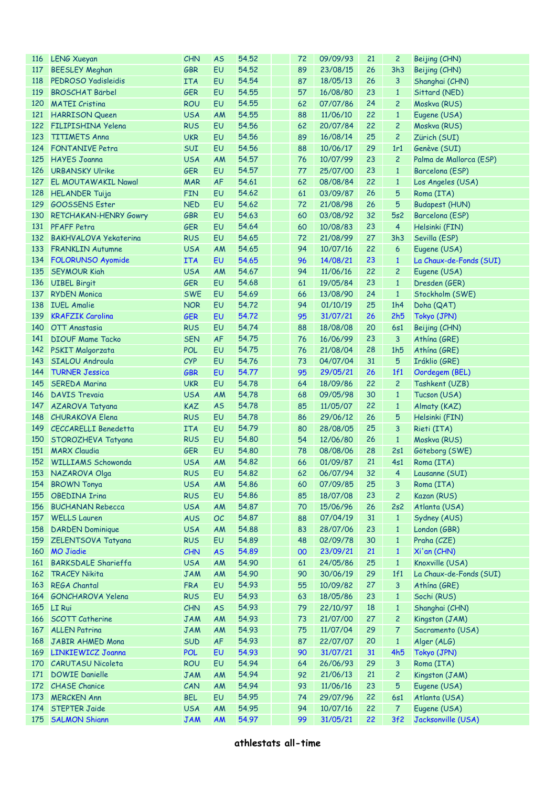| <b>116</b> | <b>LENG Xueyan</b>           | <b>CHN</b> | <b>AS</b> | 54.52 | 72 | 09/09/93 | 21 | 2              | Beijing (CHN)           |
|------------|------------------------------|------------|-----------|-------|----|----------|----|----------------|-------------------------|
| 117        | <b>BEESLEY Meghan</b>        | <b>GBR</b> | EU        | 54.52 | 89 | 23/08/15 | 26 | 3h3            | Beijing (CHN)           |
| 118        | PEDROSO Yadisleidis          | <b>ITA</b> | EU        | 54.54 | 87 | 18/05/13 | 26 | 3              | Shanghai (CHN)          |
| 119        | <b>BROSCHAT Bärbel</b>       | <b>GER</b> | EU        | 54.55 | 57 | 16/08/80 | 23 | $\mathbf{1}$   | Sittard (NED)           |
| 120        | <b>MATEI Cristina</b>        | <b>ROU</b> | EU        | 54.55 | 62 | 07/07/86 | 24 | $\overline{c}$ | Moskva (RUS)            |
| <u>121</u> | <b>HARRISON Queen</b>        | <b>USA</b> | AM        | 54.55 | 88 | 11/06/10 | 22 | $\mathbf{1}$   | Eugene (USA)            |
| 122        | <b>FILIPISHINA Yelena</b>    | <b>RUS</b> | EU        | 54.56 | 62 | 20/07/84 | 22 | $\overline{c}$ | Moskva (RUS)            |
| 123        | <b>TITIMETS Anna</b>         | <b>UKR</b> | EU        | 54.56 | 89 | 16/08/14 | 25 | $\overline{c}$ | Zürich (SUI)            |
|            | 124 FONTANIVE Petra          | SUI        | EU        | 54.56 | 88 | 10/06/17 | 29 | 1r1            | Genève (SUI)            |
| 125        | <b>HAYES Joanna</b>          | <b>USA</b> | AM        | 54.57 | 76 | 10/07/99 | 23 | $\overline{c}$ | Palma de Mallorca (ESP) |
| 126        | <b>URBANSKY Ulrike</b>       | <b>GER</b> | EU        | 54.57 | 77 | 25/07/00 | 23 | $\mathbf{1}$   | Barcelona (ESP)         |
| 127        | <b>EL MOUTAWAKIL Nawal</b>   | <b>MAR</b> | <b>AF</b> | 54.61 | 62 | 08/08/84 | 22 | $\mathbf{1}$   | Los Angeles (USA)       |
| 128        | <b>HELANDER Tuija</b>        | <b>FIN</b> | EU        | 54.62 | 61 | 03/09/87 | 26 | 5              | Roma (ITA)              |
| 129        | <b>GOOSSENS Ester</b>        | <b>NED</b> | EU        | 54.62 | 72 | 21/08/98 | 26 | 5              | <b>Budapest (HUN)</b>   |
| 130        |                              |            | EU        | 54.63 | 60 | 03/08/92 | 32 | 5s2            |                         |
|            | <b>RETCHAKAN-HENRY Gowry</b> | GBR        |           |       |    |          |    |                | Barcelona (ESP)         |
|            | 131 PFAFF Petra              | <b>GER</b> | EU        | 54.64 | 60 | 10/08/83 | 23 | 4              | Helsinki (FIN)          |
|            | 132 BAKHVALOVA Yekaterina    | <b>RUS</b> | EU        | 54.65 | 72 | 21/08/99 | 27 | 3h3            | Sevilla (ESP)           |
| 133        | <b>FRANKLIN Autumne</b>      | <b>USA</b> | AM        | 54.65 | 94 | 10/07/16 | 22 | 6              | Eugene (USA)            |
|            | 134 FOLORUNSO Ayomide        | <b>ITA</b> | EU        | 54.65 | 96 | 14/08/21 | 23 | $\mathbf{1}$   | La Chaux-de-Fonds (SUI) |
| 135        | <b>SEYMOUR Kiah</b>          | <b>USA</b> | AM        | 54.67 | 94 | 11/06/16 | 22 | 2              | Eugene (USA)            |
| 136        | <b>UIBEL Birgit</b>          | <b>GER</b> | EU        | 54.68 | 61 | 19/05/84 | 23 | $\mathbf{1}$   | Dresden (GER)           |
| 137        | <b>RYDEN Monica</b>          | <b>SWE</b> | EU        | 54.69 | 66 | 13/08/90 | 24 | $\mathbf{1}$   | Stockholm (SWE)         |
| 138        | <b>IUEL Amalie</b>           | <b>NOR</b> | EU        | 54.72 | 94 | 01/10/19 | 25 | 1h4            | Doha (QAT)              |
| 139        | <b>KRAFZIK Carolina</b>      | <b>GER</b> | EU        | 54.72 | 95 | 31/07/21 | 26 | 2h5            | Tokyo (JPN)             |
| 140        | <b>OTT Anastasia</b>         | <b>RUS</b> | EU        | 54.74 | 88 | 18/08/08 | 20 | 6s1            | Beijing (CHN)           |
| 141        | <b>DIOUF Mame Tacko</b>      | <b>SEN</b> | <b>AF</b> | 54.75 | 76 | 16/06/99 | 23 | 3              | Athína (GRE)            |
|            | 142 PSKIT Malgorzata         | <b>POL</b> | EU        | 54.75 | 76 | 21/08/04 | 28 | 1h5            | Athina (GRE)            |
| 143        | <b>SIALOU Androula</b>       | <b>CYP</b> | EU        | 54.76 | 73 | 04/07/04 | 31 | 5              | Iráklio (GRE)           |
| 144        | <b>TURNER Jessica</b>        | <b>GBR</b> | EU        | 54.77 | 95 | 29/05/21 | 26 | 1f1            | Oordegem (BEL)          |
| 145        | <b>SEREDA Marina</b>         | <b>UKR</b> | EU        | 54.78 | 64 | 18/09/86 | 22 | $\overline{c}$ | Tashkent (UZB)          |
| 146        | <b>DAVIS Trevaia</b>         | <b>USA</b> | AM        | 54.78 | 68 | 09/05/98 | 30 | $\mathbf{1}$   | Tucson (USA)            |
| 147        | AZAROVA Tatyana              | <b>KAZ</b> | <b>AS</b> | 54.78 | 85 | 11/05/07 | 22 | $\mathbf{1}$   | Almaty (KAZ)            |
| 148        | <b>CHURAKOVA Elena</b>       | <b>RUS</b> | EU        | 54.78 | 86 | 29/06/12 | 26 | 5              | Helsinki (FIN)          |
| 149        | CECCARELLI Benedetta         | <b>ITA</b> | EU        | 54.79 | 80 | 28/08/05 | 25 | 3              | Rieti (ITA)             |
| 150        | STOROZHEVA Tatyana           | <b>RUS</b> | EU        | 54.80 | 54 | 12/06/80 | 26 | $\mathbf{1}$   | Moskva (RUS)            |
| 151        | <b>MARX Claudia</b>          | <b>GER</b> | EU        | 54.80 | 78 | 08/08/06 | 28 | 2s1            | Göteborg (SWE)          |
|            | 152 WILLIAMS Schowonda       | <b>USA</b> | AM        | 54.82 | 66 | 01/09/87 | 21 | 4s1            | Roma (ITA)              |
|            | 153 NAZAROVA Olga            | <b>RUS</b> | EU        | 54.82 | 62 | 06/07/94 | 32 |                | 4 Lausanne (SUI)        |
| 154        | <b>BROWN Tonya</b>           | <b>USA</b> | AM        | 54.86 | 60 | 07/09/85 | 25 | 3              | Roma (ITA)              |
| 155        | <b>OBEDINA Irina</b>         | <b>RUS</b> | EU        | 54.86 | 85 | 18/07/08 | 23 | $\overline{c}$ | Kazan (RUS)             |
| 156        | <b>BUCHANAN Rebecca</b>      | <b>USA</b> | AM        | 54.87 | 70 | 15/06/96 | 26 | 2s2            | Atlanta (USA)           |
| 157        | <b>WELLS Lauren</b>          | <b>AUS</b> | OC        | 54.87 | 88 | 07/04/19 | 31 | $\mathbf{1}$   | Sydney (AUS)            |
| 158        | <b>DARDEN Dominique</b>      | <b>USA</b> | AM        | 54.88 | 83 | 28/07/06 | 23 | $\mathbf{1}$   | London (GBR)            |
| 159        | ZELENTSOVA Tatyana           | <b>RUS</b> | EU        | 54.89 | 48 | 02/09/78 | 30 | $\mathbf{1}$   | Praha (CZE)             |
| 160        | <b>MO Jiadie</b>             | <b>CHN</b> | <b>AS</b> | 54.89 | 00 | 23/09/21 | 21 | $\mathbf{1}$   | Xi'an (CHN)             |
|            |                              |            |           |       |    | 24/05/86 |    |                | Knoxville (USA)         |
| 161        | <b>BARKSDALE Sharieffa</b>   | <b>USA</b> | AM        | 54.90 | 61 | 30/06/19 | 25 | $\mathbf{1}$   |                         |
| 162        | <b>TRACEY Nikita</b>         | <b>JAM</b> | AM        | 54.90 | 90 |          | 29 | 1f1            | La Chaux-de-Fonds (SUI) |
| 163        | <b>REGA Chantal</b>          | <b>FRA</b> | EU        | 54.93 | 55 | 10/09/82 | 27 | 3              | Athína (GRE)            |
| 164        | GONCHAROVA Yelena            | <b>RUS</b> | EU        | 54.93 | 63 | 18/05/86 | 23 | $\mathbf{1}$   | Sochi (RUS)             |
| 165        | LI Rui                       | CHN        | <b>AS</b> | 54.93 | 79 | 22/10/97 | 18 | $\mathbf{1}$   | Shanghai (CHN)          |
| 166        | <b>SCOTT Catherine</b>       | <b>JAM</b> | AM        | 54.93 | 73 | 21/07/00 | 27 | $\overline{c}$ | Kingston (JAM)          |
| 167        | <b>ALLEN Patrina</b>         | <b>JAM</b> | AM        | 54.93 | 75 | 11/07/04 | 29 | 7              | Sacramento (USA)        |
| 168        | <b>JABIR AHMED Mona</b>      | <b>SUD</b> | AF        | 54.93 | 87 | 22/07/07 | 20 | $\mathbf{1}$   | Alger (ALG)             |
| 169        | LINKIEWICZ Joanna            | <b>POL</b> | EU        | 54.93 | 90 | 31/07/21 | 31 | 4h5            | Tokyo (JPN)             |
| 170        | <b>CARUTASU Nicoleta</b>     | <b>ROU</b> | EU        | 54.94 | 64 | 26/06/93 | 29 | 3              | Roma (ITA)              |
| 171        | <b>DOWIE Danielle</b>        | <b>JAM</b> | AM        | 54.94 | 92 | 21/06/13 | 21 | 2              | Kingston (JAM)          |
| 172        | <b>CHASE Chanice</b>         | CAN        | AM        | 54.94 | 93 | 11/06/16 | 23 | 5              | Eugene (USA)            |
| 173        | <b>MERCKEN Ann</b>           | <b>BEL</b> | EU        | 54.95 | 74 | 29/07/96 | 22 | 6s1            | Atlanta (USA)           |
| 174        | <b>STEPTER Jaide</b>         | <b>USA</b> | AM        | 54.95 | 94 | 10/07/16 | 22 | 7              | Eugene (USA)            |
| 175        | <b>SALMON Shiann</b>         | <b>JAM</b> | AM        | 54.97 | 99 | 31/05/21 | 22 | 3f2            | Jacksonville (USA)      |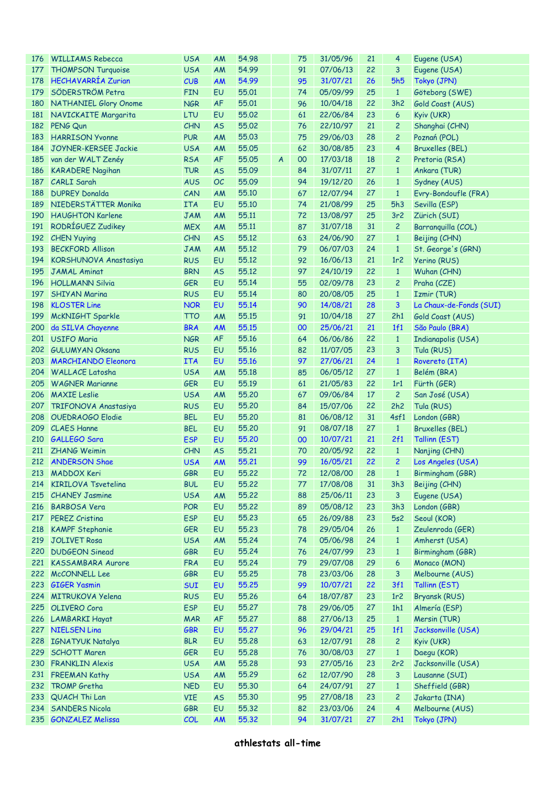| 176 | <b>WILLIAMS Rebecca</b>      | <b>USA</b> | AM        | 54.98 |                | 75 | 31/05/96 | 21 | 4               | Eugene (USA)            |
|-----|------------------------------|------------|-----------|-------|----------------|----|----------|----|-----------------|-------------------------|
| 177 | <b>THOMPSON Turquoise</b>    | <b>USA</b> | AM        | 54.99 |                | 91 | 07/06/13 | 22 | 3               | Eugene (USA)            |
| 178 | <b>HECHAVARRÍA Zurian</b>    | CUB        | AM        | 54.99 |                | 95 | 31/07/21 | 26 | <b>5h5</b>      | Tokyo (JPN)             |
| 179 | SÖDERSTRÖM Petra             | <b>FIN</b> | EU        | 55.01 |                | 74 | 05/09/99 | 25 | $\mathbf{1}$    | Göteborg (SWE)          |
| 180 | <b>NATHANIEL Glory Onome</b> | <b>NGR</b> | <b>AF</b> | 55,01 |                | 96 | 10/04/18 | 22 | 3h2             | Gold Coast (AUS)        |
| 181 | NAVICKAITE Margarita         | LTU        | EU        | 55.02 |                | 61 | 22/06/84 | 23 | 6               | Kyiv (UKR)              |
| 182 | PENG Qun                     | <b>CHN</b> | <b>AS</b> | 55.02 |                | 76 | 22/10/97 | 21 | $\overline{c}$  | Shanghai (CHN)          |
| 183 | <b>HARRISON Yvonne</b>       | <b>PUR</b> | AM        | 55.03 |                | 75 | 29/06/03 | 28 | $\overline{c}$  | Poznań (POL)            |
| 184 | JOYNER-KERSEE Jackie         | <b>USA</b> | AM        | 55.05 |                | 62 | 30/08/85 | 23 | 4               | <b>Bruxelles (BEL)</b>  |
| 185 | van der WALT Zenéy           | <b>RSA</b> | <b>AF</b> | 55.05 | $\overline{A}$ | 00 | 17/03/18 | 18 | 2               | Pretoria (RSA)          |
| 186 | <b>KARADERE Nagihan</b>      | <b>TUR</b> | <b>AS</b> | 55.09 |                | 84 | 31/07/11 | 27 | $\mathbf{1}$    | Ankara (TUR)            |
| 187 | <b>CARLI Sarah</b>           | <b>AUS</b> | OC        | 55.09 |                | 94 | 19/12/20 | 26 | $\mathbf{1}$    |                         |
|     |                              |            |           |       |                |    |          |    |                 | Sydney (AUS)            |
| 188 | <b>DUPREY Donalda</b>        | CAN        | AM        | 55.10 |                | 67 | 12/07/94 | 27 | $\mathbf{1}$    | Evry-Bondoufle (FRA)    |
| 189 | NIEDERSTÄTTER Monika         | <b>ITA</b> | EU        | 55.10 |                | 74 | 21/08/99 | 25 | 5h3             | Sevilla (ESP)           |
| 190 | <b>HAUGHTON Karlene</b>      | <b>JAM</b> | AM        | 55.11 |                | 72 | 13/08/97 | 25 | 3r <sub>2</sub> | Zürich (SUI)            |
| 191 | RODRÍGUEZ Zudikey            | <b>MEX</b> | AM        | 55.11 |                | 87 | 31/07/18 | 31 | $\overline{c}$  | Barranquilla (COL)      |
|     | 192 CHEN Yuying              | <b>CHN</b> | <b>AS</b> | 55.12 |                | 63 | 24/06/90 | 27 | $\mathbf{1}$    | Beijing (CHN)           |
| 193 | <b>BECKFORD Allison</b>      | <b>JAM</b> | AM        | 55,12 |                | 79 | 06/07/03 | 24 | $\mathbf{1}$    | St. George's (GRN)      |
| 194 | KORSHUNOVA Anastasiya        | <b>RUS</b> | EU        | 55.12 |                | 92 | 16/06/13 | 21 | 1r2             | Yerino (RUS)            |
| 195 | <b>JAMAL Aminat</b>          | <b>BRN</b> | <b>AS</b> | 55.12 |                | 97 | 24/10/19 | 22 | $\mathbf{1}$    | Wuhan (CHN)             |
| 196 | <b>HOLLMANN Silvia</b>       | <b>GER</b> | EU        | 55.14 |                | 55 | 02/09/78 | 23 | $\overline{c}$  | Praha (CZE)             |
| 197 | <b>SHIYAN Marina</b>         | <b>RUS</b> | EU        | 55.14 |                | 80 | 20/08/05 | 25 | $\mathbf{1}$    | Izmir (TUR)             |
| 198 | <b>KLOSTER Line</b>          | <b>NOR</b> | EU        | 55.14 |                | 90 | 14/08/21 | 28 | 3               | La Chaux-de-Fonds (SUI) |
| 199 | <b>McKNIGHT Sparkle</b>      | <b>TTO</b> | AM        | 55.15 |                | 91 | 10/04/18 | 27 | 2h1             | Gold Coast (AUS)        |
| 200 | da SILVA Chayenne            | <b>BRA</b> | AM        | 55.15 |                | 00 | 25/06/21 | 21 | 1f1             | São Paulo (BRA)         |
|     | 201 USIFO Maria              | <b>NGR</b> | <b>AF</b> | 55.16 |                | 64 | 06/06/86 | 22 | $\mathbf{1}$    | Indianapolis (USA)      |
|     | 202 GULUMYAN Oksana          | <b>RUS</b> | EU        | 55.16 |                | 82 | 11/07/05 | 23 | 3               | Tula (RUS)              |
| 203 | <b>MARCHIANDO Eleonora</b>   | <b>ITA</b> | EU        | 55.16 |                | 97 | 27/06/21 | 24 | $\mathbf{1}$    | Rovereto (ITA)          |
|     | 204 WALLACE Latosha          | <b>USA</b> | AM        | 55.18 |                | 85 | 06/05/12 | 27 | $\mathbf{1}$    | Belém (BRA)             |
| 205 | <b>WAGNER Marianne</b>       | <b>GER</b> | EU        | 55.19 |                | 61 | 21/05/83 | 22 | 1r1             | Fürth (GER)             |
| 206 | <b>MAXIE</b> Leslie          | <b>USA</b> | AM        | 55.20 |                | 67 | 09/06/84 | 17 | $\overline{c}$  | San José (USA)          |
| 207 | TRIFONOVA Anastasiya         | <b>RUS</b> | EU        | 55.20 |                | 84 | 15/07/06 | 22 | 2h2             | Tula (RUS)              |
| 208 | OUEDRAOGO Elodie             | <b>BEL</b> | EU        | 55.20 |                | 81 | 06/08/12 | 31 | 4sf1            | London (GBR)            |
| 209 | <b>CLAES Hanne</b>           | <b>BEL</b> | EU        | 55.20 |                | 91 | 08/07/18 | 27 | $\mathbf{1}$    | <b>Bruxelles (BEL)</b>  |
|     |                              |            |           |       |                |    | 10/07/21 |    |                 |                         |
| 210 | <b>GALLEGO Sara</b>          | <b>ESP</b> | EU        | 55.20 |                | 00 |          | 21 | 2f1             | Tallinn (EST)           |
| 211 | <b>ZHANG Weimin</b>          | <b>CHN</b> | <b>AS</b> | 55.21 |                | 70 | 20/05/92 | 22 | $\mathbf{1}$    | Nanjing (CHN)           |
|     | 212 ANDERSON Shae            | <b>USA</b> | AM        | 55,21 |                | 99 | 16/05/21 | 22 | $\overline{c}$  | Los Angeles (USA)       |
|     | 213 MADDOX Keri              | GBR        | EU        | 55.22 |                | 72 | 12/08/00 | 28 | $1 -$           | Birmingham (GBR)        |
| 214 | <b>KIRILOVA Tsvetelina</b>   | <b>BUL</b> | EU        | 55.22 |                | 77 | 17/08/08 | 31 | 3h3             | Beijing (CHN)           |
| 215 | <b>CHANEY Jasmine</b>        | <b>USA</b> | AM        | 55.22 |                | 88 | 25/06/11 | 23 | 3               | Eugene (USA)            |
| 216 | <b>BARBOSA Vera</b>          | <b>POR</b> | EU        | 55.22 |                | 89 | 05/08/12 | 23 | 3h3             | London (GBR)            |
| 217 | <b>PEREZ Cristina</b>        | <b>ESP</b> | EU        | 55.23 |                | 65 | 26/09/88 | 23 | 5s2             | Seoul (KOR)             |
| 218 | <b>KAMPF Stephanie</b>       | <b>GER</b> | EU        | 55.23 |                | 78 | 29/05/04 | 26 | $\mathbf{1}$    | Zeulenroda (GER)        |
| 219 | <b>JOLIVET Rosa</b>          | <b>USA</b> | AM        | 55.24 |                | 74 | 05/06/98 | 24 | $\mathbf{1}$    | Amherst (USA)           |
| 220 | <b>DUDGEON Sinead</b>        | GBR        | EU        | 55.24 |                | 76 | 24/07/99 | 23 | $\mathbf{1}$    | Birmingham (GBR)        |
| 221 | <b>KASSAMBARA Aurore</b>     | <b>FRA</b> | EU        | 55.24 |                | 79 | 29/07/08 | 29 | 6               | Monaco (MON)            |
| 222 | McCONNELL Lee                | <b>GBR</b> | EU        | 55.25 |                | 78 | 23/03/06 | 28 | 3               | Melbourne (AUS)         |
| 223 | <b>GIGER Yasmin</b>          | <b>SUI</b> | EU        | 55.25 |                | 99 | 10/07/21 | 22 | 3f1             | Tallinn (EST)           |
| 224 | MITRUKOVA Yelena             | <b>RUS</b> | EU        | 55.26 |                | 64 | 18/07/87 | 23 | 1r <sub>2</sub> | Bryansk (RUS)           |
| 225 | <b>OLIVERO</b> Cora          | <b>ESP</b> | EU        | 55.27 |                | 78 | 29/06/05 | 27 | 1h1             | Almería (ESP)           |
| 226 | LAMBARKI Hayat               | <b>MAR</b> | <b>AF</b> | 55.27 |                | 88 | 27/06/13 | 25 | $\mathbf{1}$    | Mersin (TUR)            |
| 227 | <b>NIELSEN Lina</b>          | <b>GBR</b> | EU        | 55.27 |                | 96 | 29/04/21 | 25 | 1f1             | Jacksonville (USA)      |
| 228 | <b>IGNATYUK Natalya</b>      | <b>BLR</b> | EU        | 55.28 |                | 63 | 12/07/91 | 28 | 2               | Kyiv (UKR)              |
| 229 | SCHOTT Maren                 | <b>GER</b> | EU        | 55.28 |                | 76 | 30/08/03 | 27 | $\mathbf{1}$    | Daegu (KOR)             |
| 230 | <b>FRANKLIN Alexis</b>       | <b>USA</b> | AM        | 55.28 |                | 93 | 27/05/16 | 23 | 2r2             | Jacksonville (USA)      |
| 231 |                              |            |           | 55.29 |                | 62 | 12/07/90 | 28 | 3               | Lausanne (SUI)          |
| 232 | <b>FREEMAN Kathy</b>         | <b>USA</b> | AM        |       |                |    |          | 27 |                 |                         |
|     | <b>TROMP Gretha</b>          | <b>NED</b> | EU        | 55.30 |                | 64 | 24/07/91 |    | $\mathbf{1}$    | Sheffield (GBR)         |
| 233 | QUACH Thi Lan                | <b>VIE</b> | <b>AS</b> | 55.30 |                | 95 | 27/08/18 | 23 | $\overline{c}$  | Jakarta (INA)           |
| 234 | <b>SANDERS Nicola</b>        | <b>GBR</b> | EU        | 55.32 |                | 82 | 23/03/06 | 24 | $\overline{4}$  | Melbourne (AUS)         |
|     | 235 GONZALEZ Melissa         | COL        | AM        | 55.32 |                | 94 | 31/07/21 | 27 | 2h1             | Tokyo (JPN)             |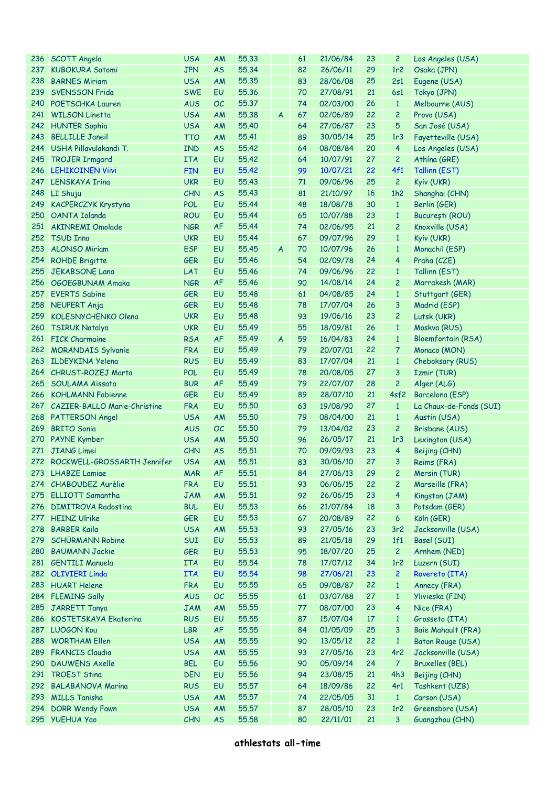| 236 | SCOTT Angela                             | <b>USA</b>        | AM              | 55.33          |                | 61       | 21/06/84             | 23       | 2                    | Los Angeles (USA)                   |
|-----|------------------------------------------|-------------------|-----------------|----------------|----------------|----------|----------------------|----------|----------------------|-------------------------------------|
| 237 | <b>KUBOKURA Satomi</b>                   | <b>JPN</b>        | <b>AS</b>       | 55.34          |                | 82       | 26/06/11             | 29       | 1r <sub>2</sub>      | Osaka (JPN)                         |
| 238 | <b>BARNES Miriam</b>                     | <b>USA</b>        | AM              | 55.35          |                | 83       | 28/06/08             | 25       | 2s1                  | Eugene (USA)                        |
| 239 | SVENSSON Frida                           | <b>SWE</b>        | EU              | 55.36          |                | 70       | 27/08/91             | 21       | 6s1                  | Tokyo (JPN)                         |
|     | 240 POETSCHKA Lauren                     | <b>AUS</b>        | OC              | 55.37          |                | 74       | 02/03/00             | 26       | $\mathbf{1}$         | Melbourne (AUS)                     |
|     | 241 WILSON Linetta                       | <b>USA</b>        | AM              | 55.38          | $\overline{A}$ | 67       | 02/06/89             | 22       | $\overline{c}$       | Provo (USA)                         |
|     | 242 HUNTER Sophia                        | <b>USA</b>        | AM              | 55.40          |                | 64       | 27/06/87             | 23       | 5                    | San José (USA)                      |
| 243 | <b>BELLILLE Janeil</b>                   | <b>TTO</b>        | AM              | 55.41          |                | 89       | 30/05/14             | 25       | 1r3                  | Fayetteville (USA)                  |
|     | 244 USHA Pillavulakandi T.               | <b>IND</b>        | <b>AS</b>       | 55.42          |                | 64       | 08/08/84             | 20       | 4                    | Los Angeles (USA)                   |
| 245 | <b>TROJER Irmgard</b>                    | <b>ITA</b>        | EU              | 55.42          |                | 64       | 10/07/91             | 27       | $\overline{c}$       | Athina (GRE)                        |
| 246 | <b>LEHIKOINEN Viivi</b>                  | <b>FIN</b>        | EU              | 55.42          |                | 99       | 10/07/21             | 22       | 4f1                  | Tallinn (EST)                       |
|     | 247 LENSKAYA Irina                       | <b>UKR</b>        | EU              | 55.43          |                | 71       | 09/06/96             | 25       | $\overline{c}$       | Kyiv (UKR)                          |
| 248 | LI Shuju                                 | CHN               | <b>AS</b>       | 55.43          |                | 81       | 21/10/97             | 16       | 1h2                  | Shanghai (CHN)                      |
| 249 | <b>KACPERCZYK Krystyna</b>               | <b>POL</b>        | EU              | 55.44          |                | 48       | 18/08/78             | 30       | $\mathbf{1}$         | Berlin (GER)                        |
| 250 | OANTA Iolanda                            | <b>ROU</b>        | EU              | 55.44          |                | 65       | 10/07/88             | 23       | $\mathbf{1}$         | București (ROU)                     |
| 251 | AKINREMI Omolade                         | <b>NGR</b>        | <b>AF</b>       | 55.44          |                | 74       | 02/06/95             | 21       | $\overline{c}$       | Knoxville (USA)                     |
|     | 252 TSUD Inna                            | <b>UKR</b>        | EU              | 55.44          |                | 67       | 09/07/96             | 29       | $\mathbf{1}$         | Kyiv (UKR)                          |
| 253 | <b>ALONSO Miriam</b>                     | <b>ESP</b>        | EU              | 55.45          | $\overline{A}$ | 70       | 10/07/96             | 26       | $\mathbf{1}$         | Monachil (ESP)                      |
| 254 | <b>ROHDE Brigitte</b>                    | <b>GER</b>        | EU              | 55.46          |                | 54       | 02/09/78             | 24       | 4                    | Praha (CZE)                         |
| 255 | <b>JEKABSONE Lana</b>                    | LAT               | EU              | 55.46          |                | 74       | 09/06/96             | 22       | $\mathbf{1}$         | Tallinn (EST)                       |
| 256 | OGOEGBUNAM Amaka                         | <b>NGR</b>        | <b>AF</b>       | 55.46          |                | 90       | 14/08/14             | 24       | $\overline{c}$       | Marrakesh (MAR)                     |
|     | 257 EVERTS Sabine                        | <b>GER</b>        | EU              | 55.48          |                | 61       | 04/08/85             | 24       | $\mathbf{1}$         | Stuttgart (GER)                     |
| 258 | NEUPERT Anja                             | <b>GER</b>        | EU              | 55.48          |                | 78       | 17/07/04             | 26       | 3                    | Madrid (ESP)                        |
| 259 | <b>KOLESNYCHENKO Olena</b>               | <b>UKR</b>        | EU              | 55.48          |                | 93       | 19/06/16             | 23       | $\overline{c}$       | Lutsk (UKR)                         |
| 260 | <b>TSIRUK Natalya</b>                    | <b>UKR</b>        | EU              | 55.49          |                | 55       | 18/09/81             | 26       | $\mathbf{1}$         | Moskva (RUS)                        |
| 261 | <b>FICK Charmaine</b>                    | <b>RSA</b>        | <b>AF</b>       | 55.49          | A              | 59       | 16/04/83             | 24       | $\mathbf{1}$         | <b>Bloemfontain (RSA)</b>           |
|     | 262 MORANDAIS Sylvanie                   | <b>FRA</b>        | EU              | 55.49          |                | 79       | 20/07/01             | 22       | 7                    | Monaco (MON)                        |
| 263 | <b>ILDEYKINA Yelena</b>                  | <b>RUS</b>        | EU              | 55.49          |                | 83       | 17/07/04             | 21       | $\mathbf{1}$         | Cheboksary (RUS)                    |
|     | 264 CHRUST-ROZEJ Marta                   | POL               | EU              | 55.49          |                | 78       | 20/08/05             | 27       | 3                    | Izmir (TUR)                         |
| 265 | SOULAMA Aïssata                          | <b>BUR</b>        | <b>AF</b>       | 55.49          |                | 79       | 22/07/07             | 28       | $\overline{c}$       | Alger (ALG)                         |
| 266 | <b>KOHLMANN Fabienne</b>                 | GER               | <b>EU</b>       | 55.49          |                | 89       | 28/07/10             | 21       | 4sf2                 | Barcelona (ESP)                     |
|     | 267 CAZIER-BALLO Marie-Christine         | <b>FRA</b>        | EU              | 55.50          |                | 63       | 19/08/90             | 27       | $\mathbf{1}$         | La Chaux-de-Fonds (SUI)             |
|     | 268 PATTERSON Angel                      | <b>USA</b>        | AM              | 55.50          |                | 79       | 08/04/00             | 21       | $\mathbf{1}$         | Austin (USA)                        |
| 269 | <b>BRITO</b> Sonia                       | <b>AUS</b>        | OC              | 55.50          |                | 79       | 13/04/02             | 23       | $\overline{c}$       | Brisbane (AUS)                      |
|     | 270 PAYNE Kymber                         | <b>USA</b>        | AM              | 55.50          |                | 96       | 26/05/17             | 21       | 1r3                  | Lexington (USA)                     |
| 271 | <b>JIANG Limei</b>                       | <b>CHN</b>        | <b>AS</b>       | 55.51          |                | 70       | 09/09/93             | 23       | 4                    | Beijing (CHN)                       |
|     | 272 ROCKWELL-GROSSARTH Jennifer          | <b>USA</b>        | AM              | 55.51          |                | 83       | 30/06/10             | 27       | 3                    | Reims (FRA)                         |
|     | 273 LHABZE Lamiae                        | <b>MAR</b>        | AF              | 55.51          |                | 84       | 27/06/13             | 29       | $2^{\circ}$          | Mersin (TUR)                        |
|     | 274 CHABOUDEZ Aurèlie                    | <b>FRA</b>        | EU              | 55.51          |                | 93       | 06/06/15             | 22       | $\overline{c}$       | Marseille (FRA)                     |
| 275 | <b>ELLIOTT Samantha</b>                  | <b>JAM</b>        | AM              | 55.51          |                | 92       | 26/06/15             | 23       | 4                    | Kingston (JAM)                      |
| 276 | <b>DIMITROVA Radostina</b>               | <b>BUL</b>        | EU              | 55.53          |                | 66       | 21/07/84             | 18       | 3                    | Potsdam (GER)                       |
| 277 | <b>HEINZ Ulrike</b>                      | <b>GER</b>        | EU              | 55.53          |                | 67       | 20/08/89             | 22       | 6                    | Köln (GER)                          |
| 278 | <b>BARBER Kaila</b>                      |                   | AM              | 55.53          |                | 93       |                      |          |                      | Jacksonville (USA)                  |
| 279 |                                          |                   |                 |                |                |          |                      |          |                      |                                     |
| 280 |                                          | <b>USA</b>        |                 |                |                |          | 27/05/16             | 23       | 3r <sub>2</sub>      |                                     |
|     | <b>SCHÜRMANN Robine</b>                  | SUI               | EU              | 55.53          |                | 89       | 21/05/18             | 29       | 1f1                  | Basel (SUI)                         |
|     | <b>BAUMANN Jackie</b>                    | <b>GER</b>        | EU              | 55.53          |                | 95       | 18/07/20             | 25       | $\overline{c}$       | Arnhem (NED)                        |
|     | 281 GENTILI Manuela                      | <b>ITA</b>        | EU              | 55.54          |                | 78       | 17/07/12             | 34       | 1r <sub>2</sub>      | Luzern (SUI)                        |
|     | 282 OLIVIERI Linda                       | <b>ITA</b>        | EU              | 55.54          |                | 98       | 27/06/21             | 23       | $\overline{c}$       | Rovereto (ITA)                      |
| 283 | <b>HUART Helene</b>                      | <b>FRA</b>        | EU              | 55.55          |                | 65       | 09/08/87             | 22       | $\mathbf{1}$         | Annecy (FRA)                        |
| 284 | <b>FLEMING Sally</b>                     | <b>AUS</b>        | OC              | 55.55          |                | 61       | 03/07/88             | 27       | $\mathbf{1}$         | Ylivieska (FIN)                     |
| 285 | <b>JARRETT Tanya</b>                     | <b>JAM</b>        | AM              | 55.55          |                | 77       | 08/07/00             | 23       | 4                    | Nice (FRA)                          |
| 286 | <b>KOSTETSKAYA Ekaterina</b>             | <b>RUS</b>        | EU              | 55.55          |                | 87       | 15/07/04             | 17       | $\mathbf{1}$         | Grosseto (ITA)                      |
| 287 | <b>LUOGON Kou</b>                        | <b>LBR</b>        | AF              | 55.55          |                | 84       | 01/05/09             | 25       | 3                    | <b>Baie Mahault (FRA)</b>           |
| 288 | <b>WORTHAM Ellen</b>                     | <b>USA</b>        | AM              | 55.55          |                | 90       | 13/05/12             | 22       | $\mathbf{1}$         | Baton Rouge (USA)                   |
|     | 289 FRANCIS Claudia                      | <b>USA</b>        | AM              | 55.55          |                | 93       | 27/05/16             | 23       | 4r <sub>2</sub>      | Jacksonville (USA)                  |
| 290 | <b>DAUWENS Axelle</b>                    | <b>BEL</b>        | EU              | 55.56          |                | 90       | 05/09/14             | 24       | $\overline{7}$       | <b>Bruxelles (BEL)</b>              |
| 291 | <b>TROEST Stina</b>                      | <b>DEN</b>        | EU              | 55.56          |                | 94       | 23/08/15             | 21       | 4h3                  | Beijing (CHN)                       |
| 292 | <b>BALABANOVA Marina</b>                 | <b>RUS</b>        | EU              | 55.57          |                | 64       | 18/09/86             | 22       | 4r1                  | Tashkent (UZB)                      |
| 293 | <b>MILLS Tanisha</b>                     | <b>USA</b>        | AM              | 55.57          |                | 74       | 22/05/05             | 31       | $\mathbf{1}$         | Carson (USA)                        |
| 294 | <b>DORR Wendy Fawn</b><br>295 YUEHUA Yao | <b>USA</b><br>CHN | AM<br><b>AS</b> | 55.57<br>55.58 |                | 87<br>80 | 28/05/10<br>22/11/01 | 23<br>21 | 1r <sub>2</sub><br>3 | Greensboro (USA)<br>Guangzhou (CHN) |